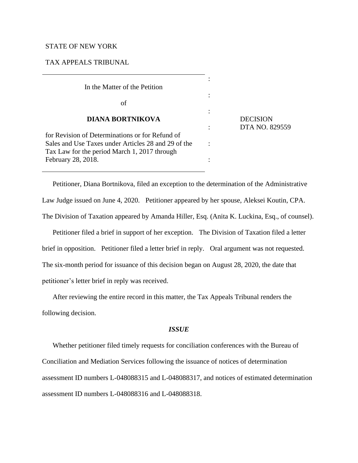# STATE OF NEW YORK

## TAX APPEALS TRIBUNAL

| In the Matter of the Petition                                                                          |                                   |
|--------------------------------------------------------------------------------------------------------|-----------------------------------|
| of                                                                                                     |                                   |
| <b>DIANA BORTNIKOVA</b>                                                                                | <b>DECISION</b><br>DTA NO. 829559 |
| for Revision of Determinations or for Refund of<br>Sales and Use Taxes under Articles 28 and 29 of the |                                   |
| Tax Law for the period March 1, 2017 through<br>February 28, 2018.                                     |                                   |

Petitioner, Diana Bortnikova, filed an exception to the determination of the Administrative Law Judge issued on June 4, 2020. Petitioner appeared by her spouse, Aleksei Koutin, CPA. The Division of Taxation appeared by Amanda Hiller, Esq. (Anita K. Luckina, Esq., of counsel).

Petitioner filed a brief in support of her exception. The Division of Taxation filed a letter brief in opposition. Petitioner filed a letter brief in reply. Oral argument was not requested. The six-month period for issuance of this decision began on August 28, 2020, the date that petitioner's letter brief in reply was received.

After reviewing the entire record in this matter, the Tax Appeals Tribunal renders the following decision.

### *ISSUE*

Whether petitioner filed timely requests for conciliation conferences with the Bureau of Conciliation and Mediation Services following the issuance of notices of determination assessment ID numbers L-048088315 and L-048088317, and notices of estimated determination assessment ID numbers L-048088316 and L-048088318.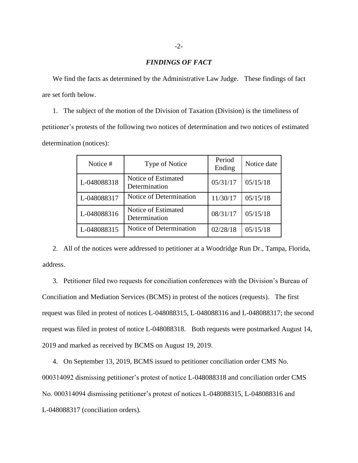## *FINDINGS OF FACT*

We find the facts as determined by the Administrative Law Judge. These findings of fact are set forth below.

1. The subject of the motion of the Division of Taxation (Division) is the timeliness of petitioner's protests of the following two notices of determination and two notices of estimated determination (notices):

| Notice #    | <b>Type of Notice</b>                | Period<br>Ending | Notice date |
|-------------|--------------------------------------|------------------|-------------|
| L-048088318 | Notice of Estimated<br>Determination | 05/31/17         | 05/15/18    |
| L-048088317 | Notice of Determination              | 11/30/17         | 05/15/18    |
| L-048088316 | Notice of Estimated<br>Determination | 08/31/17         | 05/15/18    |
| L-048088315 | Notice of Determination              | 02/28/18         | 05/15/18    |

2. All of the notices were addressed to petitioner at a Woodridge Run Dr., Tampa, Florida, address.

3. Petitioner filed two requests for conciliation conferences with the Division's Bureau of Conciliation and Mediation Services (BCMS) in protest of the notices (requests). The first request was filed in protest of notices L-048088315, L-048088316 and L-048088317; the second request was filed in protest of notice L-048088318. Both requests were postmarked August 14, 2019 and marked as received by BCMS on August 19, 2019.

4. On September 13, 2019, BCMS issued to petitioner conciliation order CMS No. 000314092 dismissing petitioner's protest of notice L-048088318 and conciliation order CMS No. 000314094 dismissing petitioner's protest of notices L-048088315, L-048088316 and L-048088317 (conciliation orders).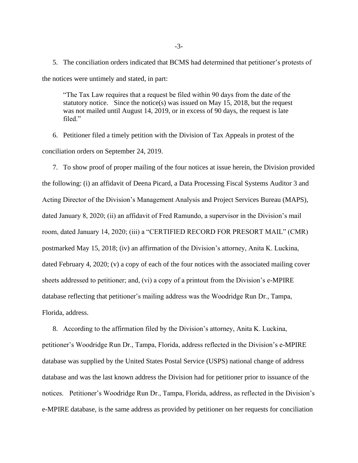5. The conciliation orders indicated that BCMS had determined that petitioner's protests of the notices were untimely and stated, in part:

"The Tax Law requires that a request be filed within 90 days from the date of the statutory notice. Since the notice(s) was issued on May 15, 2018, but the request was not mailed until August 14, 2019, or in excess of 90 days, the request is late filed."

6. Petitioner filed a timely petition with the Division of Tax Appeals in protest of the conciliation orders on September 24, 2019.

7. To show proof of proper mailing of the four notices at issue herein, the Division provided the following: (i) an affidavit of Deena Picard, a Data Processing Fiscal Systems Auditor 3 and Acting Director of the Division's Management Analysis and Project Services Bureau (MAPS), dated January 8, 2020; (ii) an affidavit of Fred Ramundo, a supervisor in the Division's mail room, dated January 14, 2020; (iii) a "CERTIFIED RECORD FOR PRESORT MAIL" (CMR) postmarked May 15, 2018; (iv) an affirmation of the Division's attorney, Anita K. Luckina, dated February 4, 2020; (v) a copy of each of the four notices with the associated mailing cover sheets addressed to petitioner; and, (vi) a copy of a printout from the Division's e-MPIRE database reflecting that petitioner's mailing address was the Woodridge Run Dr., Tampa, Florida, address.

8. According to the affirmation filed by the Division's attorney, Anita K. Luckina, petitioner's Woodridge Run Dr., Tampa, Florida, address reflected in the Division's e-MPIRE database was supplied by the United States Postal Service (USPS) national change of address database and was the last known address the Division had for petitioner prior to issuance of the notices. Petitioner's Woodridge Run Dr., Tampa, Florida, address, as reflected in the Division's e-MPIRE database, is the same address as provided by petitioner on her requests for conciliation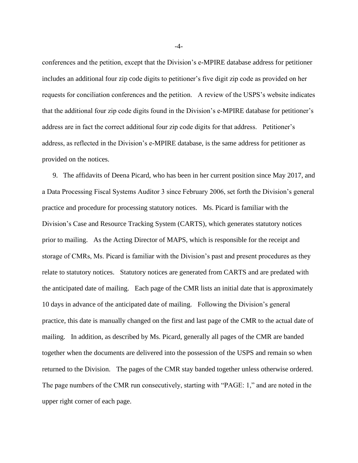conferences and the petition, except that the Division's e-MPIRE database address for petitioner includes an additional four zip code digits to petitioner's five digit zip code as provided on her requests for conciliation conferences and the petition. A review of the USPS's website indicates that the additional four zip code digits found in the Division's e-MPIRE database for petitioner's address are in fact the correct additional four zip code digits for that address. Petitioner's address, as reflected in the Division's e-MPIRE database, is the same address for petitioner as provided on the notices.

9. The affidavits of Deena Picard, who has been in her current position since May 2017, and a Data Processing Fiscal Systems Auditor 3 since February 2006, set forth the Division's general practice and procedure for processing statutory notices. Ms. Picard is familiar with the Division's Case and Resource Tracking System (CARTS), which generates statutory notices prior to mailing. As the Acting Director of MAPS, which is responsible for the receipt and storage of CMRs, Ms. Picard is familiar with the Division's past and present procedures as they relate to statutory notices. Statutory notices are generated from CARTS and are predated with the anticipated date of mailing. Each page of the CMR lists an initial date that is approximately 10 days in advance of the anticipated date of mailing. Following the Division's general practice, this date is manually changed on the first and last page of the CMR to the actual date of mailing. In addition, as described by Ms. Picard, generally all pages of the CMR are banded together when the documents are delivered into the possession of the USPS and remain so when returned to the Division. The pages of the CMR stay banded together unless otherwise ordered. The page numbers of the CMR run consecutively, starting with "PAGE: 1," and are noted in the upper right corner of each page.

-4-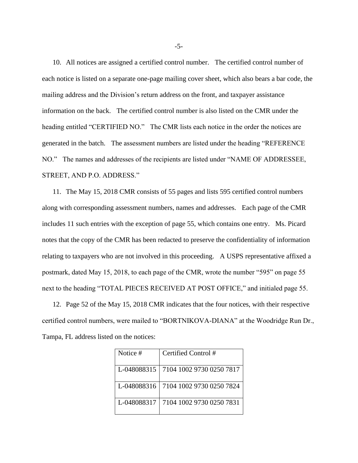10. All notices are assigned a certified control number. The certified control number of each notice is listed on a separate one-page mailing cover sheet, which also bears a bar code, the mailing address and the Division's return address on the front, and taxpayer assistance information on the back. The certified control number is also listed on the CMR under the heading entitled "CERTIFIED NO." The CMR lists each notice in the order the notices are generated in the batch. The assessment numbers are listed under the heading "REFERENCE NO." The names and addresses of the recipients are listed under "NAME OF ADDRESSEE, STREET, AND P.O. ADDRESS."

11. The May 15, 2018 CMR consists of 55 pages and lists 595 certified control numbers along with corresponding assessment numbers, names and addresses. Each page of the CMR includes 11 such entries with the exception of page 55, which contains one entry. Ms. Picard notes that the copy of the CMR has been redacted to preserve the confidentiality of information relating to taxpayers who are not involved in this proceeding. A USPS representative affixed a postmark, dated May 15, 2018, to each page of the CMR, wrote the number "595" on page 55 next to the heading "TOTAL PIECES RECEIVED AT POST OFFICE," and initialed page 55.

12. Page 52 of the May 15, 2018 CMR indicates that the four notices, with their respective certified control numbers, were mailed to "BORTNIKOVA-DIANA" at the Woodridge Run Dr., Tampa, FL address listed on the notices:

| Notice #    | Certified Control#       |
|-------------|--------------------------|
| L-048088315 | 7104 1002 9730 0250 7817 |
| L-048088316 | 7104 1002 9730 0250 7824 |
| L-048088317 | 7104 1002 9730 0250 7831 |

-5-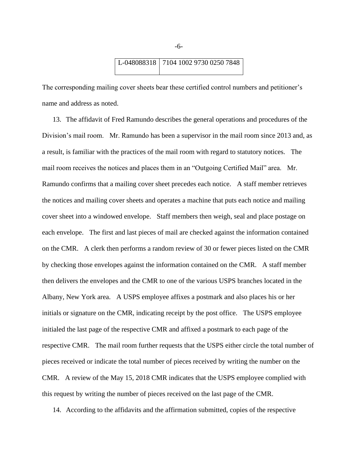

The corresponding mailing cover sheets bear these certified control numbers and petitioner's name and address as noted.

13. The affidavit of Fred Ramundo describes the general operations and procedures of the Division's mail room. Mr. Ramundo has been a supervisor in the mail room since 2013 and, as a result, is familiar with the practices of the mail room with regard to statutory notices. The mail room receives the notices and places them in an "Outgoing Certified Mail" area. Mr. Ramundo confirms that a mailing cover sheet precedes each notice. A staff member retrieves the notices and mailing cover sheets and operates a machine that puts each notice and mailing cover sheet into a windowed envelope. Staff members then weigh, seal and place postage on each envelope. The first and last pieces of mail are checked against the information contained on the CMR. A clerk then performs a random review of 30 or fewer pieces listed on the CMR by checking those envelopes against the information contained on the CMR. A staff member then delivers the envelopes and the CMR to one of the various USPS branches located in the Albany, New York area. A USPS employee affixes a postmark and also places his or her initials or signature on the CMR, indicating receipt by the post office. The USPS employee initialed the last page of the respective CMR and affixed a postmark to each page of the respective CMR. The mail room further requests that the USPS either circle the total number of pieces received or indicate the total number of pieces received by writing the number on the CMR. A review of the May 15, 2018 CMR indicates that the USPS employee complied with this request by writing the number of pieces received on the last page of the CMR.

14. According to the affidavits and the affirmation submitted, copies of the respective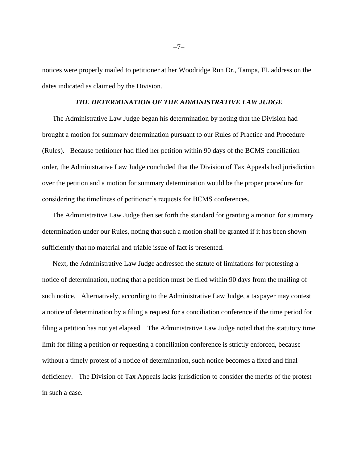notices were properly mailed to petitioner at her Woodridge Run Dr., Tampa, FL address on the dates indicated as claimed by the Division.

#### *THE DETERMINATION OF THE ADMINISTRATIVE LAW JUDGE*

The Administrative Law Judge began his determination by noting that the Division had brought a motion for summary determination pursuant to our Rules of Practice and Procedure (Rules). Because petitioner had filed her petition within 90 days of the BCMS conciliation order, the Administrative Law Judge concluded that the Division of Tax Appeals had jurisdiction over the petition and a motion for summary determination would be the proper procedure for considering the timeliness of petitioner's requests for BCMS conferences.

The Administrative Law Judge then set forth the standard for granting a motion for summary determination under our Rules, noting that such a motion shall be granted if it has been shown sufficiently that no material and triable issue of fact is presented.

Next, the Administrative Law Judge addressed the statute of limitations for protesting a notice of determination, noting that a petition must be filed within 90 days from the mailing of such notice. Alternatively, according to the Administrative Law Judge, a taxpayer may contest a notice of determination by a filing a request for a conciliation conference if the time period for filing a petition has not yet elapsed. The Administrative Law Judge noted that the statutory time limit for filing a petition or requesting a conciliation conference is strictly enforced, because without a timely protest of a notice of determination, such notice becomes a fixed and final deficiency. The Division of Tax Appeals lacks jurisdiction to consider the merits of the protest in such a case.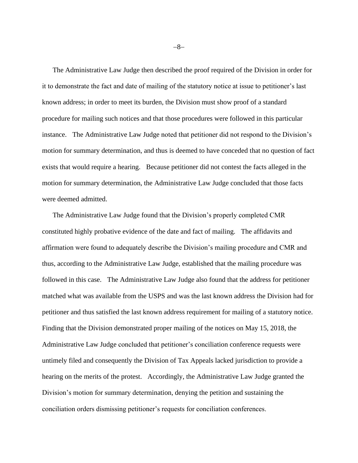The Administrative Law Judge then described the proof required of the Division in order for it to demonstrate the fact and date of mailing of the statutory notice at issue to petitioner's last known address; in order to meet its burden, the Division must show proof of a standard procedure for mailing such notices and that those procedures were followed in this particular instance. The Administrative Law Judge noted that petitioner did not respond to the Division's motion for summary determination, and thus is deemed to have conceded that no question of fact exists that would require a hearing. Because petitioner did not contest the facts alleged in the motion for summary determination, the Administrative Law Judge concluded that those facts were deemed admitted.

The Administrative Law Judge found that the Division's properly completed CMR constituted highly probative evidence of the date and fact of mailing. The affidavits and affirmation were found to adequately describe the Division's mailing procedure and CMR and thus, according to the Administrative Law Judge, established that the mailing procedure was followed in this case. The Administrative Law Judge also found that the address for petitioner matched what was available from the USPS and was the last known address the Division had for petitioner and thus satisfied the last known address requirement for mailing of a statutory notice. Finding that the Division demonstrated proper mailing of the notices on May 15, 2018, the Administrative Law Judge concluded that petitioner's conciliation conference requests were untimely filed and consequently the Division of Tax Appeals lacked jurisdiction to provide a hearing on the merits of the protest. Accordingly, the Administrative Law Judge granted the Division's motion for summary determination, denying the petition and sustaining the conciliation orders dismissing petitioner's requests for conciliation conferences.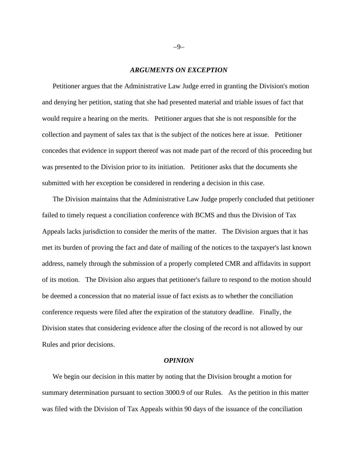#### *ARGUMENTS ON EXCEPTION*

Petitioner argues that the Administrative Law Judge erred in granting the Division's motion and denying her petition, stating that she had presented material and triable issues of fact that would require a hearing on the merits. Petitioner argues that she is not responsible for the collection and payment of sales tax that is the subject of the notices here at issue. Petitioner concedes that evidence in support thereof was not made part of the record of this proceeding but was presented to the Division prior to its initiation. Petitioner asks that the documents she submitted with her exception be considered in rendering a decision in this case.

The Division maintains that the Administrative Law Judge properly concluded that petitioner failed to timely request a conciliation conference with BCMS and thus the Division of Tax Appeals lacks jurisdiction to consider the merits of the matter. The Division argues that it has met its burden of proving the fact and date of mailing of the notices to the taxpayer's last known address, namely through the submission of a properly completed CMR and affidavits in support of its motion. The Division also argues that petitioner's failure to respond to the motion should be deemed a concession that no material issue of fact exists as to whether the conciliation conference requests were filed after the expiration of the statutory deadline. Finally, the Division states that considering evidence after the closing of the record is not allowed by our Rules and prior decisions.

#### *OPINION*

We begin our decision in this matter by noting that the Division brought a motion for summary determination pursuant to section 3000.9 of our Rules. As the petition in this matter was filed with the Division of Tax Appeals within 90 days of the issuance of the conciliation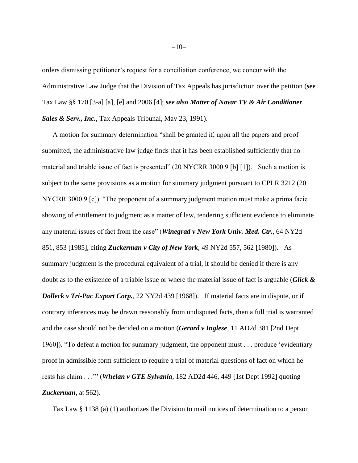orders dismissing petitioner's request for a conciliation conference, we concur with the Administrative Law Judge that the Division of Tax Appeals has jurisdiction over the petition (*see* Tax Law §§ 170 [3-a] [a], [e] and 2006 [4]; *see also Matter of Novar TV & Air Conditioner Sales & Serv., Inc.*, Tax Appeals Tribunal, May 23, 1991).

A motion for summary determination "shall be granted if, upon all the papers and proof submitted, the administrative law judge finds that it has been established sufficiently that no material and triable issue of fact is presented" (20 NYCRR 3000.9 [b] [1]). Such a motion is subject to the same provisions as a motion for summary judgment pursuant to CPLR 3212 (20) NYCRR 3000.9 [c]). "The proponent of a summary judgment motion must make a prima facie showing of entitlement to judgment as a matter of law, tendering sufficient evidence to eliminate any material issues of fact from the case" (*Winegrad v New York Univ. Med. Ctr.*, 64 NY2d 851, 853 [1985], citing *Zuckerman v City of New York*, 49 NY2d 557, 562 [1980]). As summary judgment is the procedural equivalent of a trial, it should be denied if there is any doubt as to the existence of a triable issue or where the material issue of fact is arguable (*Glick & Dolleck v Tri-Pac Export Corp.*, 22 NY2d 439 [1968]). If material facts are in dispute, or if contrary inferences may be drawn reasonably from undisputed facts, then a full trial is warranted and the case should not be decided on a motion (*Gerard v Inglese*, 11 AD2d 381 [2nd Dept 1960]). "To defeat a motion for summary judgment, the opponent must . . . produce 'evidentiary proof in admissible form sufficient to require a trial of material questions of fact on which he rests his claim . . .'" (*Whelan v GTE Sylvania*, 182 AD2d 446, 449 [1st Dept 1992] quoting *Zuckerman*, at 562).

Tax Law § 1138 (a) (1) authorizes the Division to mail notices of determination to a person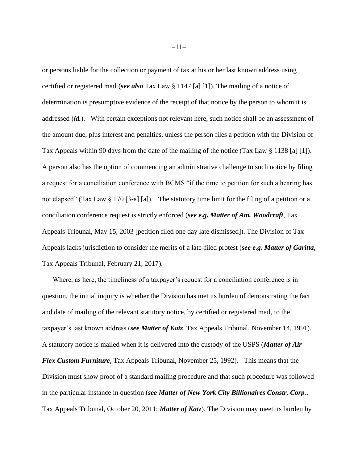or persons liable for the collection or payment of tax at his or her last known address using certified or registered mail (*see also* Tax Law § 1147 [a] [1]). The mailing of a notice of determination is presumptive evidence of the receipt of that notice by the person to whom it is addressed (*id.*). With certain exceptions not relevant here, such notice shall be an assessment of the amount due, plus interest and penalties, unless the person files a petition with the Division of Tax Appeals within 90 days from the date of the mailing of the notice (Tax Law § 1138 [a] [1]). A person also has the option of commencing an administrative challenge to such notice by filing a request for a conciliation conference with BCMS "if the time to petition for such a hearing has not elapsed" (Tax Law § 170 [3-a] [a]). The statutory time limit for the filing of a petition or a conciliation conference request is strictly enforced (*see e.g. Matter of Am. Woodcraft*, Tax Appeals Tribunal, May 15, 2003 [petition filed one day late dismissed]). The Division of Tax Appeals lacks jurisdiction to consider the merits of a late-filed protest (*see e.g. Matter of Garitta*, Tax Appeals Tribunal, February 21, 2017).

Where, as here, the timeliness of a taxpayer's request for a conciliation conference is in question, the initial inquiry is whether the Division has met its burden of demonstrating the fact and date of mailing of the relevant statutory notice, by certified or registered mail, to the taxpayer's last known address (*see Matter of Katz*, Tax Appeals Tribunal, November 14, 1991). A statutory notice is mailed when it is delivered into the custody of the USPS (*Matter of Air Flex Custom Furniture*, Tax Appeals Tribunal, November 25, 1992). This means that the Division must show proof of a standard mailing procedure and that such procedure was followed in the particular instance in question (*see Matter of New York City Billionaires Constr. Corp.*, Tax Appeals Tribunal, October 20, 2011; *Matter of Katz*). The Division may meet its burden by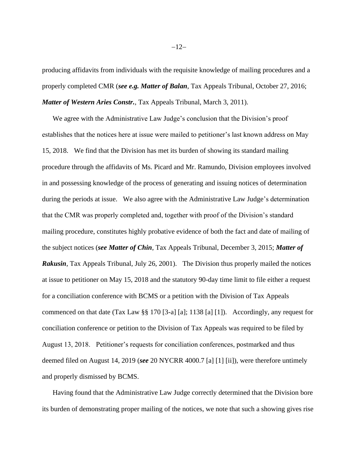producing affidavits from individuals with the requisite knowledge of mailing procedures and a properly completed CMR (*see e.g. Matter of Balan*, Tax Appeals Tribunal, October 27, 2016; *Matter of Western Aries Constr.*, Tax Appeals Tribunal, March 3, 2011).

We agree with the Administrative Law Judge's conclusion that the Division's proof establishes that the notices here at issue were mailed to petitioner's last known address on May 15, 2018. We find that the Division has met its burden of showing its standard mailing procedure through the affidavits of Ms. Picard and Mr. Ramundo, Division employees involved in and possessing knowledge of the process of generating and issuing notices of determination during the periods at issue. We also agree with the Administrative Law Judge's determination that the CMR was properly completed and, together with proof of the Division's standard mailing procedure, constitutes highly probative evidence of both the fact and date of mailing of the subject notices (*see Matter of Chin*, Tax Appeals Tribunal, December 3, 2015; *Matter of Rakusin*, Tax Appeals Tribunal, July 26, 2001). The Division thus properly mailed the notices at issue to petitioner on May 15, 2018 and the statutory 90-day time limit to file either a request for a conciliation conference with BCMS or a petition with the Division of Tax Appeals commenced on that date (Tax Law §§ 170 [3-a] [a]; 1138 [a] [1]). Accordingly, any request for conciliation conference or petition to the Division of Tax Appeals was required to be filed by August 13, 2018. Petitioner's requests for conciliation conferences, postmarked and thus deemed filed on August 14, 2019 (*see* 20 NYCRR 4000.7 [a] [1] [ii]), were therefore untimely and properly dismissed by BCMS.

Having found that the Administrative Law Judge correctly determined that the Division bore its burden of demonstrating proper mailing of the notices, we note that such a showing gives rise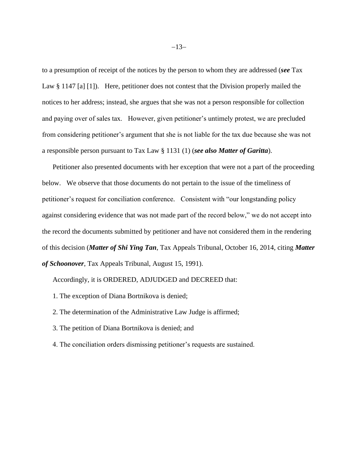to a presumption of receipt of the notices by the person to whom they are addressed (*see* Tax Law § 1147 [a] [1]). Here, petitioner does not contest that the Division properly mailed the notices to her address; instead, she argues that she was not a person responsible for collection and paying over of sales tax. However, given petitioner's untimely protest, we are precluded from considering petitioner's argument that she is not liable for the tax due because she was not a responsible person pursuant to Tax Law § 1131 (1) (*see also Matter of Garitta*).

Petitioner also presented documents with her exception that were not a part of the proceeding below. We observe that those documents do not pertain to the issue of the timeliness of petitioner's request for conciliation conference. Consistent with "our longstanding policy against considering evidence that was not made part of the record below," we do not accept into the record the documents submitted by petitioner and have not considered them in the rendering of this decision (*Matter of Shi Ying Tan*, Tax Appeals Tribunal, October 16, 2014, citing *Matter of Schoonover*, Tax Appeals Tribunal, August 15, 1991).

Accordingly, it is ORDERED, ADJUDGED and DECREED that:

- 1. The exception of Diana Bortnikova is denied;
- 2. The determination of the Administrative Law Judge is affirmed;
- 3. The petition of Diana Bortnikova is denied; and
- 4. The conciliation orders dismissing petitioner's requests are sustained.